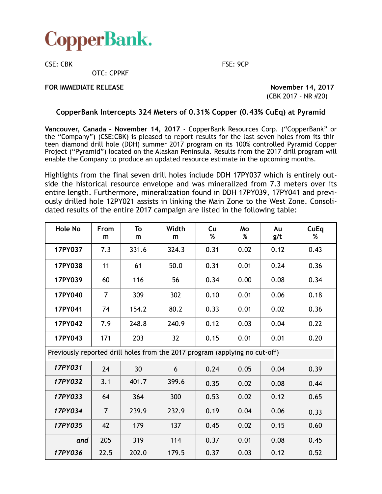

CSE: CBK FSE: 9CP

OTC: CPPKF

## **FOR IMMEDIATE RELEASE November 14, 2017**

(CBK 2017 – NR #20)

# **CopperBank Intercepts 324 Meters of 0.31% Copper (0.43% CuEq) at Pyramid**

**Vancouver, Canada – November 14, 2017** - CopperBank Resources Corp. ("CopperBank" or the "Company") (CSE:CBK) is pleased to report results for the last seven holes from its thirteen diamond drill hole (DDH) summer 2017 program on its 100% controlled Pyramid Copper Project ("Pyramid") located on the Alaskan Peninsula. Results from the 2017 drill program will enable the Company to produce an updated resource estimate in the upcoming months.

Highlights from the final seven drill holes include DDH 17PY037 which is entirely outside the historical resource envelope and was mineralized from 7.3 meters over its entire length. Furthermore, mineralization found in DDH 17PY039, 17PY041 and previously drilled hole 12PY021 assists in linking the Main Zone to the West Zone. Consolidated results of the entire 2017 campaign are listed in the following table:

| <b>Hole No</b>                                                              | From<br>m      | To<br>m | Width<br>m | Cu<br>% | Mo<br>% | Au<br>g/t | CuEq<br>% |
|-----------------------------------------------------------------------------|----------------|---------|------------|---------|---------|-----------|-----------|
| 17PY037                                                                     | 7.3            | 331.6   | 324.3      | 0.31    | 0.02    | 0.12      | 0.43      |
| 17PY038                                                                     | 11             | 61      | 50.0       | 0.31    | 0.01    | 0.24      | 0.36      |
| 17PY039                                                                     | 60             | 116     | 56         | 0.34    | 0.00    | 0.08      | 0.34      |
| 17PY040                                                                     | $\overline{7}$ | 309     | 302        | 0.10    | 0.01    | 0.06      | 0.18      |
| 17PY041                                                                     | 74             | 154.2   | 80.2       | 0.33    | 0.01    | 0.02      | 0.36      |
| 17PY042                                                                     | 7.9            | 248.8   | 240.9      | 0.12    | 0.03    | 0.04      | 0.22      |
| 17PY043                                                                     | 171            | 203     | 32         | 0.15    | 0.01    | 0.01      | 0.20      |
| Previously reported drill holes from the 2017 program (applying no cut-off) |                |         |            |         |         |           |           |
| 17PY031                                                                     | 24             | 30      | 6          | 0.24    | 0.05    | 0.04      | 0.39      |
| 17PY032                                                                     | 3.1            | 401.7   | 399.6      | 0.35    | 0.02    | 0.08      | 0.44      |
| 17PY033                                                                     | 64             | 364     | 300        | 0.53    | 0.02    | 0.12      | 0.65      |
| 17PY034                                                                     | $\overline{7}$ | 239.9   | 232.9      | 0.19    | 0.04    | 0.06      | 0.33      |
| 17PY035                                                                     | 42             | 179     | 137        | 0.45    | 0.02    | 0.15      | 0.60      |
| and                                                                         | 205            | 319     | 114        | 0.37    | 0.01    | 0.08      | 0.45      |
| 17PY036                                                                     | 22.5           | 202.0   | 179.5      | 0.37    | 0.03    | 0.12      | 0.52      |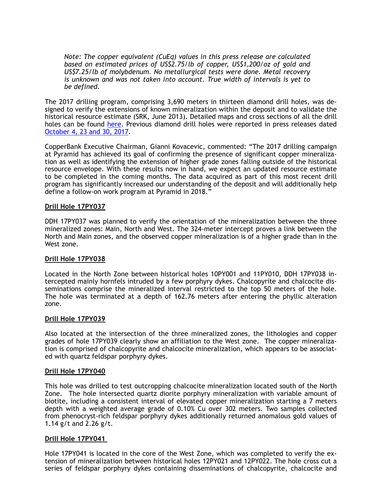*Note: The copper equivalent (CuEq) values in this press release are calculated based on estimated prices of US\$2.75/lb of copper, US\$1,200/oz of gold and US\$7.25/lb of molybdenum. No metallurgical tests were done. Metal recovery is unknown and was not taken into account. True width of intervals is yet to be defined.* 

The 2017 drilling program, comprising 3,690 meters in thirteen diamond drill holes, was designed to verify the extensions of known mineralization within the deposit and to validate the historical resource estimate (SRK, June 2013). Detailed maps and cross sections of all the drill holes can be found [here](http://copperbankcorp.com/alaska-projects/about-pyramid/pyramid-project-maps). Previous diamond drill holes were reported in press releases dated [October 4, 23 and 30, 2017](http://copperbankcorp.com/investors/press-releases).

CopperBank Executive Chairman, Gianni Kovacevic, commented: "The 2017 drilling campaign at Pyramid has achieved its goal of confirming the presence of significant copper mineralization as well as identifying the extension of higher grade zones falling outside of the historical resource envelope. With these results now in hand, we expect an updated resource estimate to be completed in the coming months. The data acquired as part of this most recent drill program has significantly increased our understanding of the deposit and will additionally help define a follow-on work program at Pyramid in 2018."

### **Drill Hole 17PY037**

DDH 17PY037 was planned to verify the orientation of the mineralization between the three mineralized zones: Main, North and West. The 324-meter intercept proves a link between the North and Main zones, and the observed copper mineralization is of a higher grade than in the West zone.

### **Drill Hole 17PY038**

Located in the North Zone between historical holes 10PY001 and 11PY010, DDH 17PY038 intercepted mainly hornfels intruded by a few porphyry dykes. Chalcopyrite and chalcocite disseminations comprise the mineralized interval restricted to the top 50 meters of the hole. The hole was terminated at a depth of 162.76 meters after entering the phyllic alteration zone.

### **Drill Hole 17PY039**

Also located at the intersection of the three mineralized zones, the lithologies and copper grades of hole 17PY039 clearly show an affiliation to the West zone. The copper mineralization is comprised of chalcopyrite and chalcocite mineralization, which appears to be associated with quartz feldspar porphyry dykes.

### **Drill Hole 17PY040**

This hole was drilled to test outcropping chalcocite mineralization located south of the North Zone. The hole intersected quartz diorite porphyry mineralization with variable amount of biotite, including a consistent interval of elevated copper mineralization starting a 7 meters depth with a weighted average grade of 0.10% Cu over 302 meters. Two samples collected from phenocryst-rich feldspar porphyry dykes additionally returned anomalous gold values of 1.14 g/t and 2.26 g/t.

### **Drill Hole 17PY041**

Hole 17PY041 is located in the core of the West Zone, which was completed to verify the extension of mineralization between historical holes 12PY021 and 12PY022. The hole cross cut a series of feldspar porphyry dykes containing disseminations of chalcopyrite, chalcocite and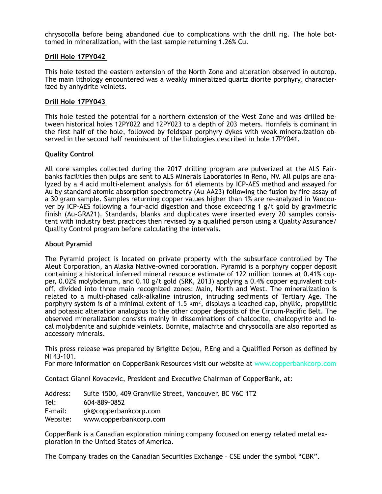chrysocolla before being abandoned due to complications with the drill rig. The hole bottomed in mineralization, with the last sample returning 1.26% Cu.

### **Drill Hole 17PY042**

This hole tested the eastern extension of the North Zone and alteration observed in outcrop. The main lithology encountered was a weakly mineralized quartz diorite porphyry, characterized by anhydrite veinlets.

### **Drill Hole 17PY043**

This hole tested the potential for a northern extension of the West Zone and was drilled between historical holes 12PY022 and 12PY023 to a depth of 203 meters. Hornfels is dominant in the first half of the hole, followed by feldspar porphyry dykes with weak mineralization observed in the second half reminiscent of the lithologies described in hole 17PY041.

### **Quality Control**

All core samples collected during the 2017 drilling program are pulverized at the ALS Fairbanks facilities then pulps are sent to ALS Minerals Laboratories in Reno, NV. All pulps are analyzed by a 4 acid multi-element analysis for 61 elements by ICP-AES method and assayed for Au by standard atomic absorption spectrometry (Au-AA23) following the fusion by fire-assay of a 30 gram sample. Samples returning copper values higher than 1% are re-analyzed in Vancouver by ICP-AES following a four-acid digestion and those exceeding 1 g/t gold by gravimetric finish (Au-GRA21). Standards, blanks and duplicates were inserted every 20 samples consistent with industry best practices then revised by a qualified person using a Quality Assurance/ Quality Control program before calculating the intervals.

### **About Pyramid**

The Pyramid project is located on private property with the subsurface controlled by The Aleut Corporation, an Alaska Native-owned corporation. Pyramid is a porphyry copper deposit containing a historical inferred mineral resource estimate of 122 million tonnes at 0.41% copper, 0.02% molybdenum, and 0.10 g/t gold (SRK, 2013) applying a 0.4% copper equivalent cutoff, divided into three main recognized zones: Main, North and West. The mineralization is related to a multi-phased calk-alkaline intrusion, intruding sediments of Tertiary Age. The porphyry system is of a minimal extent of 1.5  $km^2$ , displays a leached cap, phyllic, propyllitic and potassic alteration analogous to the other copper deposits of the Circum-Pacific Belt. The observed mineralization consists mainly in disseminations of chalcocite, chalcopyrite and local molybdenite and sulphide veinlets. Bornite, malachite and chrysocolla are also reported as accessory minerals.

This press release was prepared by Brigitte Dejou, P.Eng and a Qualified Person as defined by NI 43-101.

For more information on CopperBank Resources visit our website at www.copperbankcorp.com

Contact Gianni Kovacevic, President and Executive Chairman of CopperBank, at:

Address: Suite 1500, 409 Granville Street, Vancouver, BC V6C 1T2 Tel: 604-889-0852 E-mail: gk@copperbankcorp.com

Website: www.copperbankcorp.com

CopperBank is a Canadian exploration mining company focused on energy related metal exploration in the United States of America.

The Company trades on the Canadian Securities Exchange – CSE under the symbol "CBK".